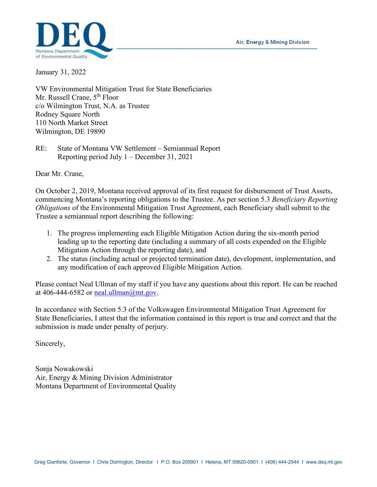Air, Energy & Mining Division



January 31, 2022

VW Environmental Mitigation Trust for State Beneficiaries Mr. Russell Crane, 5<sup>th</sup> Floor c/o Wilmington Trust, N.A. as Trustee Rodney Square North 110 North Market Street Wilmington, DE 19890

RE: State of Montana VW Settlement – Semiannual Report Reporting period July 1 – December 31, 2021

Dear Mr. Crane,

On October 2, 2019, Montana received approval of its first request for disbursement of Trust Assets, commencing Montana's reporting obligations to the Trustee. As per section 5.3 *Beneficiary Reporting Obligations* of the Environmental Mitigation Trust Agreement, each Beneficiary shall submit to the Trustee a semiannual report describing the following:

- 1. The progress implementing each Eligible Mitigation Action during the six-month period leading up to the reporting date (including a summary of all costs expended on the Eligible Mitigation Action through the reporting date), and
- 2. The status (including actual or projected termination date), development, implementation, and any modification of each approved Eligible Mitigation Action.

Please contact Neal Ullman of my staff if you have any questions about this report. He can be reached at 406-444-6582 or neal.ullman $@$ mt.gov.

In accordance with Section 5.3 of the Volkswagen Environmental Mitigation Trust Agreement for State Beneficiaries, I attest that the information contained in this report is true and correct and that the submission is made under penalty of perjury.

Sincerely,

Sonja Nowakowski Air, Energy & Mining Division Administrator Montana Department of Environmental Quality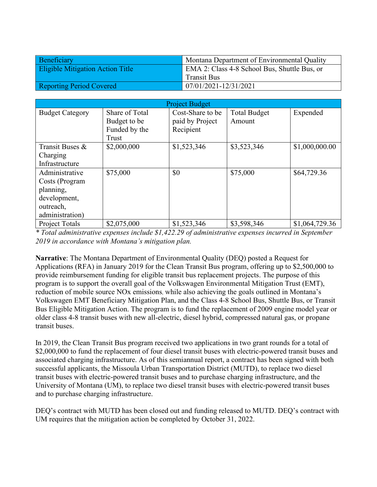| Beneficiary                             | Montana Department of Environmental Quality  |  |
|-----------------------------------------|----------------------------------------------|--|
| <b>Eligible Mitigation Action Title</b> | EMA 2: Class 4-8 School Bus, Shuttle Bus, or |  |
|                                         | <b>Transit Bus</b>                           |  |
| <b>Reporting Period Covered</b>         | 07/01/2021-12/31/2021                        |  |

| <b>Project Budget</b>                                                                         |                                                          |                                                  |                               |                |
|-----------------------------------------------------------------------------------------------|----------------------------------------------------------|--------------------------------------------------|-------------------------------|----------------|
| <b>Budget Category</b>                                                                        | Share of Total<br>Budget to be<br>Funded by the<br>Trust | Cost-Share to be<br>paid by Project<br>Recipient | <b>Total Budget</b><br>Amount | Expended       |
| Transit Buses &<br>Charging<br>Infrastructure                                                 | \$2,000,000                                              | \$1,523,346                                      | \$3,523,346                   | \$1,000,000.00 |
| Administrative<br>Costs (Program<br>planning,<br>development,<br>outreach,<br>administration) | \$75,000                                                 | \$0                                              | \$75,000                      | \$64,729.36    |
| <b>Project Totals</b>                                                                         | \$2,075,000                                              | \$1,523,346                                      | \$3,598,346                   | \$1,064,729.36 |

*\* Total administrative expenses include \$1,422.29 of administrative expenses incurred in September 2019 in accordance with Montana's mitigation plan.*

**Narrative**: The Montana Department of Environmental Quality (DEQ) posted a Request for Applications (RFA) in January 2019 for the Clean Transit Bus program, offering up to \$2,500,000 to provide reimbursement funding for eligible transit bus replacement projects. The purpose of this program is to support the overall goal of the Volkswagen Environmental Mitigation Trust (EMT), reduction of mobile source NOx emissions, while also achieving the goals outlined in Montana's Volkswagen EMT Beneficiary Mitigation Plan, and the Class 4-8 School Bus, Shuttle Bus, or Transit Bus Eligible Mitigation Action. The program is to fund the replacement of 2009 engine model year or older class 4-8 transit buses with new all-electric, diesel hybrid, compressed natural gas, or propane transit buses.

In 2019, the Clean Transit Bus program received two applications in two grant rounds for a total of \$2,000,000 to fund the replacement of four diesel transit buses with electric-powered transit buses and associated charging infrastructure. As of this semiannual report, a contract has been signed with both successful applicants, the Missoula Urban Transportation District (MUTD), to replace two diesel transit buses with electric-powered transit buses and to purchase charging infrastructure, and the University of Montana (UM), to replace two diesel transit buses with electric-powered transit buses and to purchase charging infrastructure.

DEQ's contract with MUTD has been closed out and funding released to MUTD. DEQ's contract with UM requires that the mitigation action be completed by October 31, 2022.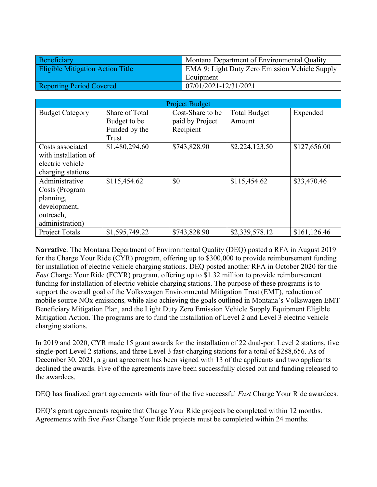| Beneficiary                             | Montana Department of Environmental Quality    |  |
|-----------------------------------------|------------------------------------------------|--|
| <b>Eligible Mitigation Action Title</b> | EMA 9: Light Duty Zero Emission Vehicle Supply |  |
|                                         | Equipment                                      |  |
| <b>Reporting Period Covered</b>         | 07/01/2021-12/31/2021                          |  |

| <b>Project Budget</b>                                                                         |                                                          |                                                  |                               |              |
|-----------------------------------------------------------------------------------------------|----------------------------------------------------------|--------------------------------------------------|-------------------------------|--------------|
| <b>Budget Category</b>                                                                        | Share of Total<br>Budget to be<br>Funded by the<br>Trust | Cost-Share to be<br>paid by Project<br>Recipient | <b>Total Budget</b><br>Amount | Expended     |
| Costs associated<br>with installation of<br>electric vehicle<br>charging stations             | \$1,480,294.60                                           | \$743,828.90                                     | \$2,224,123.50                | \$127,656.00 |
| Administrative<br>Costs (Program<br>planning,<br>development,<br>outreach,<br>administration) | \$115,454.62                                             | \$0                                              | \$115,454.62                  | \$33,470.46  |
| <b>Project Totals</b>                                                                         | \$1,595,749.22                                           | \$743,828.90                                     | \$2,339,578.12                | \$161,126.46 |

**Narrative**: The Montana Department of Environmental Quality (DEQ) posted a RFA in August 2019 for the Charge Your Ride (CYR) program, offering up to \$300,000 to provide reimbursement funding for installation of electric vehicle charging stations. DEQ posted another RFA in October 2020 for the *Fast* Charge Your Ride (FCYR) program, offering up to \$1.32 million to provide reimbursement funding for installation of electric vehicle charging stations. The purpose of these programs is to support the overall goal of the Volkswagen Environmental Mitigation Trust (EMT), reduction of mobile source NOx emissions, while also achieving the goals outlined in Montana's Volkswagen EMT Beneficiary Mitigation Plan, and the Light Duty Zero Emission Vehicle Supply Equipment Eligible Mitigation Action. The programs are to fund the installation of Level 2 and Level 3 electric vehicle charging stations.

In 2019 and 2020, CYR made 15 grant awards for the installation of 22 dual-port Level 2 stations, five single-port Level 2 stations, and three Level 3 fast-charging stations for a total of \$288,656. As of December 30, 2021, a grant agreement has been signed with 13 of the applicants and two applicants declined the awards. Five of the agreements have been successfully closed out and funding released to the awardees.

DEQ has finalized grant agreements with four of the five successful *Fast* Charge Your Ride awardees.

DEQ's grant agreements require that Charge Your Ride projects be completed within 12 months. Agreements with five *Fast* Charge Your Ride projects must be completed within 24 months.